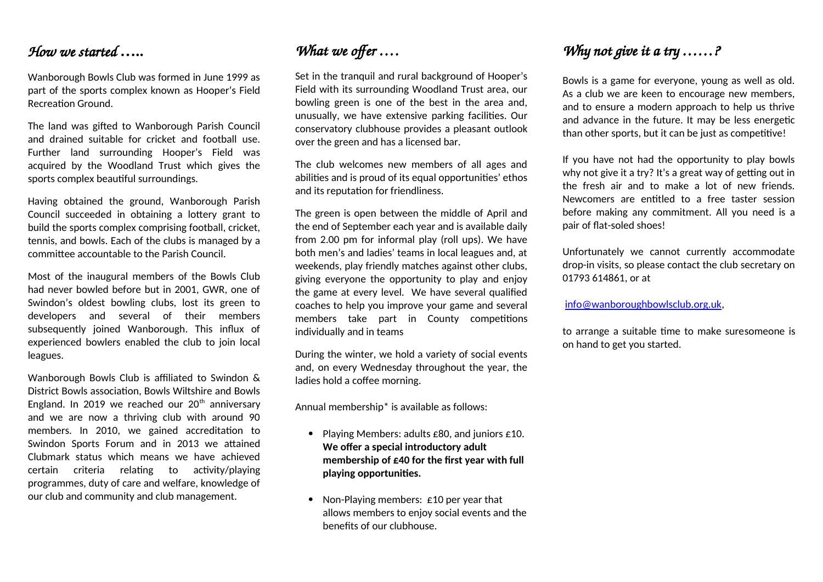### *How we started* **…..**

Wanborough Bowls Club was formed in June 1999 as part of the sports complex known as Hooper's Field Recreation Ground.

The land was gifted to Wanborough Parish Council and drained suitable for cricket and football use. Further land surrounding Hooper's Field was acquired by the Woodland Trust which gives the sports complex beautiful surroundings.

Having obtained the ground, Wanborough Parish Council succeeded in obtaining a lottery grant to build the sports complex comprising football, cricket, tennis, and bowls. Each of the clubs is managed by a committee accountable to the Parish Council.

Most of the inaugural members of the Bowls Club had never bowled before but in 2001, GWR, one of Swindon's oldest bowling clubs, lost its green to developers and several of their members subsequently joined Wanborough. This influx of experienced bowlers enabled the club to join local leagues.

Wanborough Bowls Club is affiliated to Swindon & District Bowls association, Bowls Wiltshire and Bowls England. In 2019 we reached our  $20<sup>th</sup>$  anniversary and we are now a thriving club with around 90 members. In 2010, we gained accreditation to Swindon Sports Forum and in 2013 we attained Clubmark status which means we have achieved certain criteria relating to activity/playing programmes, duty of care and welfare, knowledge of our club and community and club management.

## *What we offer ….*

Set in the tranquil and rural background of Hooper's Field with its surrounding Woodland Trust area, our bowling green is one of the best in the area and, unusually, we have extensive parking facilities. Our conservatory clubhouse provides a pleasant outlook over the green and has a licensed bar.

The club welcomes new members of all ages and abilities and is proud of its equal opportunities' ethos and its reputation for friendliness.

The green is open between the middle of April and the end of September each year and is available daily from 2.00 pm for informal play (roll ups). We have both men's and ladies' teams in local leagues and, at weekends, play friendly matches against other clubs, giving everyone the opportunity to play and enjoy the game at every level. We have several qualified coaches to help you improve your game and several members take part in County competitions individually and in teams

During the winter, we hold a variety of social events and, on every Wednesday throughout the year, the ladies hold a coffee morning.

Annual membership\* is available as follows:

- Playing Members: adults £80, and juniors £10. **We offer a special introductory adult membership of £40 for the first year with full playing opportunities.**
- Non-Playing members: £10 per year that allows members to enjoy social events and the benefits of our clubhouse.

### *Why not give it a try ……?*

Bowls is a game for everyone, young as well as old. As a club we are keen to encourage new members, and to ensure a modern approach to help us thrive and advance in the future. It may be less energetic than other sports, but it can be just as competitive!

If you have not had the opportunity to play bowls why not give it a try? It's a great way of getting out in the fresh air and to make a lot of new friends. Newcomers are entitled to a free taster session before making any commitment. All you need is a pair of flat-soled shoes!

Unfortunately we cannot currently accommodate drop-in visits, so please contact the club secretary on 01793 614861, or at

[info@wanboroughbowlsclub.org.uk](mailto:info@wanboroughbowlsclub.org.uk),

to arrange a suitable time to make suresomeone is on hand to get you started.